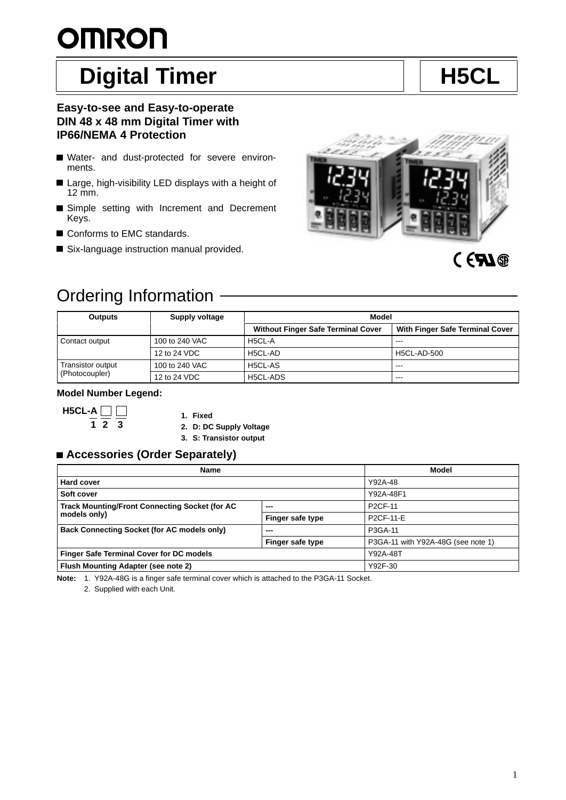# **OMRON**

# Digital Timer **H5CL**

## **Easy-to-see and Easy-to-operate DIN 48 x 48 mm Digital Timer with IP66/NEMA 4 Protection**

- Water- and dust-protected for severe environments.
- Large, high-visibility LED displays with a height of 12 mm.
- Simple setting with Increment and Decrement Keys.
- Conforms to EMC standards.
- Six-language instruction manual provided.



# CEAN®

# Ordering Information

| <b>Outputs</b>    | Supply voltage | Model                                     |                                 |  |
|-------------------|----------------|-------------------------------------------|---------------------------------|--|
|                   |                | <b>Without Finger Safe Terminal Cover</b> | With Finger Safe Terminal Cover |  |
| Contact output    | 100 to 240 VAC | H5CL-A                                    | $- - -$                         |  |
|                   | 12 to 24 VDC   | H5CL-AD                                   | <b>H5CL-AD-500</b>              |  |
| Transistor output | 100 to 240 VAC | H5CL-AS                                   | $- - -$                         |  |
| (Photocoupler)    | 12 to 24 VDC   | H5CL-ADS                                  | $- - -$                         |  |

## **Model Number Legend:**

H5CL-A 
$$
\square
$$
  $\square$   $\square$   $\square$   $\square$   $\square$   $\square$   $\square$   $\square$   $\square$   $\square$ 

**1. Fixed**

**2. D: DC Supply Voltage**

**3. S: Transistor output**

## ■ Accessories (Order Separately)

| <b>Name</b>                                        |                  | Model                              |
|----------------------------------------------------|------------------|------------------------------------|
| <b>Hard cover</b>                                  |                  | Y92A-48                            |
| Soft cover                                         |                  | Y92A-48F1                          |
| Track Mounting/Front Connecting Socket (for AC     | ---              | P <sub>2</sub> CF-11               |
| models only)                                       | Finger safe type | P2CF-11-E                          |
| <b>Back Connecting Socket (for AC models only)</b> | ---              | P3GA-11                            |
|                                                    | Finger safe type | P3GA-11 with Y92A-48G (see note 1) |
| <b>Finger Safe Terminal Cover for DC models</b>    |                  | Y92A-48T                           |
| Flush Mounting Adapter (see note 2)                |                  | Y92F-30                            |

**Note:** 1. Y92A-48G is a finger safe terminal cover which is attached to the P3GA-11 Socket.

2. Supplied with each Unit.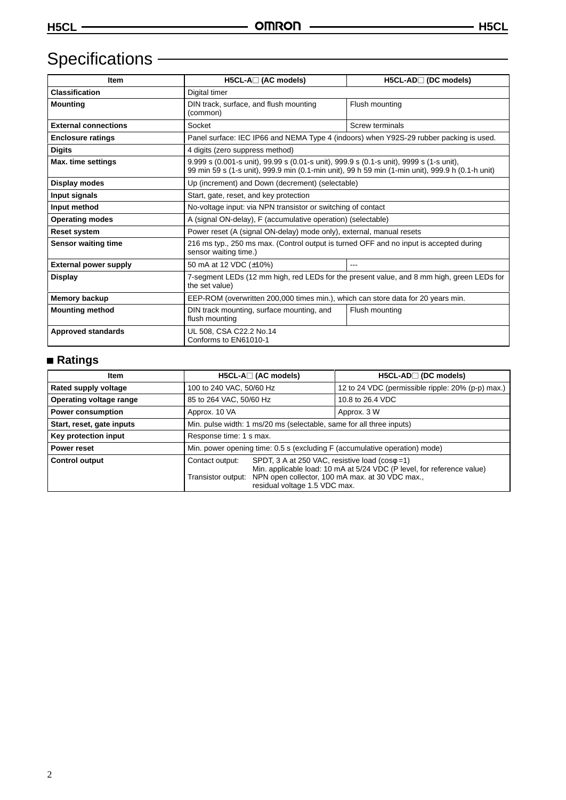# Specifications – **Example 2018**

| <b>Item</b>                  | $H5CL-A \square$ (AC models)                                                                                                                                                                | $H5CL-AD$ (DC models)  |  |
|------------------------------|---------------------------------------------------------------------------------------------------------------------------------------------------------------------------------------------|------------------------|--|
| <b>Classification</b>        | Digital timer                                                                                                                                                                               |                        |  |
| <b>Mounting</b>              | DIN track, surface, and flush mounting<br>(common)                                                                                                                                          | Flush mounting         |  |
| <b>External connections</b>  | Socket                                                                                                                                                                                      | <b>Screw terminals</b> |  |
| <b>Enclosure ratings</b>     | Panel surface: IEC IP66 and NEMA Type 4 (indoors) when Y92S-29 rubber packing is used.                                                                                                      |                        |  |
| <b>Digits</b>                | 4 digits (zero suppress method)                                                                                                                                                             |                        |  |
| Max. time settings           | 9.999 s (0.001-s unit), 99.99 s (0.01-s unit), 999.9 s (0.1-s unit), 9999 s (1-s unit),<br>99 min 59 s (1-s unit), 999.9 min (0.1-min unit), 99 h 59 min (1-min unit), 999.9 h (0.1-h unit) |                        |  |
| Display modes                | Up (increment) and Down (decrement) (selectable)                                                                                                                                            |                        |  |
| Input signals                | Start, gate, reset, and key protection                                                                                                                                                      |                        |  |
| Input method                 | No-voltage input: via NPN transistor or switching of contact                                                                                                                                |                        |  |
| <b>Operating modes</b>       | A (signal ON-delay), F (accumulative operation) (selectable)                                                                                                                                |                        |  |
| <b>Reset system</b>          | Power reset (A (signal ON-delay) mode only), external, manual resets                                                                                                                        |                        |  |
| <b>Sensor waiting time</b>   | 216 ms typ., 250 ms max. (Control output is turned OFF and no input is accepted during<br>sensor waiting time.)                                                                             |                        |  |
| <b>External power supply</b> | 50 mA at 12 VDC (±10%)<br>---                                                                                                                                                               |                        |  |
| <b>Display</b>               | 7-segment LEDs (12 mm high, red LEDs for the present value, and 8 mm high, green LEDs for<br>the set value)                                                                                 |                        |  |
| <b>Memory backup</b>         | EEP-ROM (overwritten 200,000 times min.), which can store data for 20 years min.                                                                                                            |                        |  |
| <b>Mounting method</b>       | DIN track mounting, surface mounting, and<br>Flush mounting<br>flush mounting                                                                                                               |                        |  |
| <b>Approved standards</b>    | UL 508, CSA C22.2 No.14<br>Conforms to EN61010-1                                                                                                                                            |                        |  |

## **Ratings**

| Item                      | $H5CL-A \square$ (AC models)                                               |                                                                                                                                                                                                                                       | $H5CL-AD \square$ (DC models)                     |  |
|---------------------------|----------------------------------------------------------------------------|---------------------------------------------------------------------------------------------------------------------------------------------------------------------------------------------------------------------------------------|---------------------------------------------------|--|
| Rated supply voltage      | 100 to 240 VAC, 50/60 Hz                                                   |                                                                                                                                                                                                                                       | 12 to 24 VDC (permissible ripple: 20% (p-p) max.) |  |
| Operating voltage range   | 85 to 264 VAC, 50/60 Hz                                                    |                                                                                                                                                                                                                                       | 10.8 to 26.4 VDC                                  |  |
| <b>Power consumption</b>  | Approx. 10 VA                                                              |                                                                                                                                                                                                                                       | Approx. 3 W                                       |  |
| Start, reset, gate inputs | Min. pulse width: 1 ms/20 ms (selectable, same for all three inputs)       |                                                                                                                                                                                                                                       |                                                   |  |
| Key protection input      | Response time: 1 s max.                                                    |                                                                                                                                                                                                                                       |                                                   |  |
| Power reset               | Min. power opening time: 0.5 s (excluding F (accumulative operation) mode) |                                                                                                                                                                                                                                       |                                                   |  |
| <b>Control output</b>     | Contact output:                                                            | SPDT, 3 A at 250 VAC, resistive load $(cos\phi = 1)$<br>Min. applicable load: 10 mA at 5/24 VDC (P level, for reference value)<br>Transistor output: NPN open collector, 100 mA max. at 30 VDC max.,<br>residual voltage 1.5 VDC max. |                                                   |  |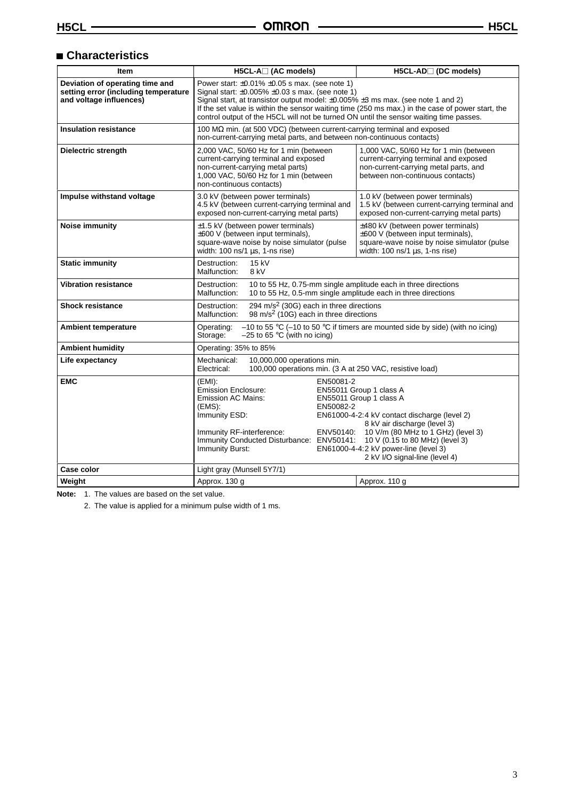## **Characteristics**

| Item                                                                                               | H5CL-A□ (AC models)                                                                                                                                                                                                                                                                                                                                                                                 | H5CL-AD□ (DC models)                                                                                                                                                                                                                                                                             |  |
|----------------------------------------------------------------------------------------------------|-----------------------------------------------------------------------------------------------------------------------------------------------------------------------------------------------------------------------------------------------------------------------------------------------------------------------------------------------------------------------------------------------------|--------------------------------------------------------------------------------------------------------------------------------------------------------------------------------------------------------------------------------------------------------------------------------------------------|--|
| Deviation of operating time and<br>setting error (including temperature<br>and voltage influences) | Power start: $\pm 0.01\% \pm 0.05$ s max. (see note 1)<br>Signal start: $\pm 0.005\% \pm 0.03$ s max. (see note 1)<br>Signal start, at transistor output model: ±0.005% ±3 ms max. (see note 1 and 2)<br>If the set value is within the sensor waiting time (250 ms max.) in the case of power start, the<br>control output of the H5CL will not be turned ON until the sensor waiting time passes. |                                                                                                                                                                                                                                                                                                  |  |
| <b>Insulation resistance</b>                                                                       | 100 M $\Omega$ min. (at 500 VDC) (between current-carrying terminal and exposed<br>non-current-carrying metal parts, and between non-continuous contacts)                                                                                                                                                                                                                                           |                                                                                                                                                                                                                                                                                                  |  |
| Dielectric strength                                                                                | 2,000 VAC, 50/60 Hz for 1 min (between<br>current-carrying terminal and exposed<br>non-current-carrying metal parts)<br>1,000 VAC, 50/60 Hz for 1 min (between<br>non-continuous contacts)                                                                                                                                                                                                          | 1,000 VAC, 50/60 Hz for 1 min (between<br>current-carrying terminal and exposed<br>non-current-carrying metal parts, and<br>between non-continuous contacts)                                                                                                                                     |  |
| Impulse withstand voltage                                                                          | 3.0 kV (between power terminals)<br>4.5 kV (between current-carrying terminal and<br>exposed non-current-carrying metal parts)                                                                                                                                                                                                                                                                      | 1.0 kV (between power terminals)<br>1.5 kV (between current-carrying terminal and<br>exposed non-current-carrying metal parts)                                                                                                                                                                   |  |
| <b>Noise immunity</b>                                                                              | $\pm$ 1.5 kV (between power terminals)<br>±600 V (between input terminals),<br>square-wave noise by noise simulator (pulse<br>width: $100$ ns/ $1 \mu s$ , $1$ -ns rise)                                                                                                                                                                                                                            | ±480 kV (between power terminals)<br>$\pm 600$ V (between input terminals),<br>square-wave noise by noise simulator (pulse<br>width: 100 ns/1 µs, 1-ns rise)                                                                                                                                     |  |
| <b>Static immunity</b>                                                                             | 15 kV<br>Destruction:<br>Malfunction:<br>8 kV                                                                                                                                                                                                                                                                                                                                                       |                                                                                                                                                                                                                                                                                                  |  |
| <b>Vibration resistance</b>                                                                        | 10 to 55 Hz, 0.75-mm single amplitude each in three directions<br>Destruction:<br>Malfunction:<br>10 to 55 Hz, 0.5-mm single amplitude each in three directions                                                                                                                                                                                                                                     |                                                                                                                                                                                                                                                                                                  |  |
| <b>Shock resistance</b>                                                                            | 294 m/s <sup>2</sup> (30G) each in three directions<br>Destruction:<br>98 m/s <sup>2</sup> (10G) each in three directions<br>Malfunction:                                                                                                                                                                                                                                                           |                                                                                                                                                                                                                                                                                                  |  |
| <b>Ambient temperature</b>                                                                         | Operating:<br>Storage:<br>$-25$ to 65 °C (with no icing)                                                                                                                                                                                                                                                                                                                                            | -10 to 55 °C (-10 to 50 °C if timers are mounted side by side) (with no icing)                                                                                                                                                                                                                   |  |
| <b>Ambient humidity</b>                                                                            | Operating: 35% to 85%                                                                                                                                                                                                                                                                                                                                                                               |                                                                                                                                                                                                                                                                                                  |  |
| Life expectancy                                                                                    | Mechanical:<br>10,000,000 operations min.<br>100,000 operations min. (3 A at 250 VAC, resistive load)<br>Electrical:                                                                                                                                                                                                                                                                                |                                                                                                                                                                                                                                                                                                  |  |
| <b>EMC</b>                                                                                         | EN50081-2<br>(EMI):<br><b>Emission Enclosure:</b><br><b>Emission AC Mains:</b><br>(EMS):<br>EN50082-2<br>Immunity ESD:<br>Immunity RF-interference:<br>Immunity Conducted Disturbance: ENV50141:<br>Immunity Burst:                                                                                                                                                                                 | EN55011 Group 1 class A<br>EN55011 Group 1 class A<br>EN61000-4-2:4 kV contact discharge (level 2)<br>8 kV air discharge (level 3)<br>ENV50140: 10 V/m (80 MHz to 1 GHz) (level 3)<br>10 V (0.15 to 80 MHz) (level 3)<br>EN61000-4-4:2 kV power-line (level 3)<br>2 kV I/O signal-line (level 4) |  |
| Case color                                                                                         | Light gray (Munsell 5Y7/1)                                                                                                                                                                                                                                                                                                                                                                          |                                                                                                                                                                                                                                                                                                  |  |
| Weight                                                                                             | Approx. 130 g                                                                                                                                                                                                                                                                                                                                                                                       | Approx. 110 g                                                                                                                                                                                                                                                                                    |  |

**Note:** 1. The values are based on the set value.

2. The value is applied for a minimum pulse width of 1 ms.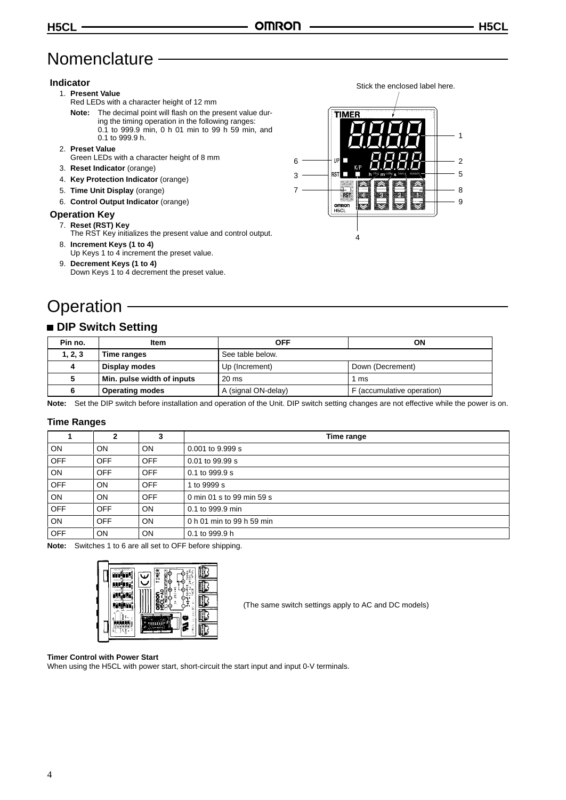# **Nomenclature**

## **Indicator**

- 1. **Present Value**
	- Red LEDs with a character height of 12 mm
	- **Note:** The decimal point will flash on the present value during the timing operation in the following ranges: 0.1 to 999.9 min, 0 h 01 min to 99 h 59 min, and 0.1 to 999.9 h.

## 2. **Preset Value**

- Green LEDs with a character height of 8 mm
- 3. **Reset Indicator** (orange)
- 4. **Key Protection Indicator** (orange)
- 5. **Time Unit Display** (orange)
- 6. **Control Output Indicator** (orange)

#### **Operation Key**

- 7. **Reset (RST) Key**
- The RST Key initializes the present value and control output. 8. **Increment Keys (1 to 4)**
- Up Keys 1 to 4 increment the preset value.
- 9. **Decrement Keys (1 to 4)** Down Keys 1 to 4 decrement the preset value.

# **Operation**

## **DIP Switch Setting**

| Pin no. | Item                       | OFF                 | ΟN                         |
|---------|----------------------------|---------------------|----------------------------|
| 1, 2, 3 | Time ranges                | See table below.    |                            |
| 4       | Display modes              | Up (Increment)      | Down (Decrement)           |
|         | Min. pulse width of inputs | $20 \text{ ms}$     | 1 ms                       |
|         | <b>Operating modes</b>     | A (signal ON-delay) | F (accumulative operation) |

**Note:** Set the DIP switch before installation and operation of the Unit. DIP switch setting changes are not effective while the power is on.

## **Time Ranges**

|            | 2          | 3          | Time range                |
|------------|------------|------------|---------------------------|
| ON         | ON         | ON         | 0.001 to 9.999 s          |
| <b>OFF</b> | <b>OFF</b> | OFF        | 0.01 to 99.99 s           |
| ON         | <b>OFF</b> | OFF        | 0.1 to 999.9 s            |
| <b>OFF</b> | ON         | OFF        | 1 to 9999 s               |
| ON         | ON         | <b>OFF</b> | 0 min 01 s to 99 min 59 s |
| <b>OFF</b> | <b>OFF</b> | <b>ON</b>  | 0.1 to 999.9 min          |
| <b>ON</b>  | OFF        | <b>ON</b>  | 0 h 01 min to 99 h 59 min |
| <b>OFF</b> | ON         | <b>ON</b>  | 0.1 to 999.9 h            |

**Note:** Switches 1 to 6 are all set to OFF before shipping.



(The same switch settings apply to AC and DC models)

#### **Timer Control with Power Start**

When using the H5CL with power start, short-circuit the start input and input 0-V terminals.

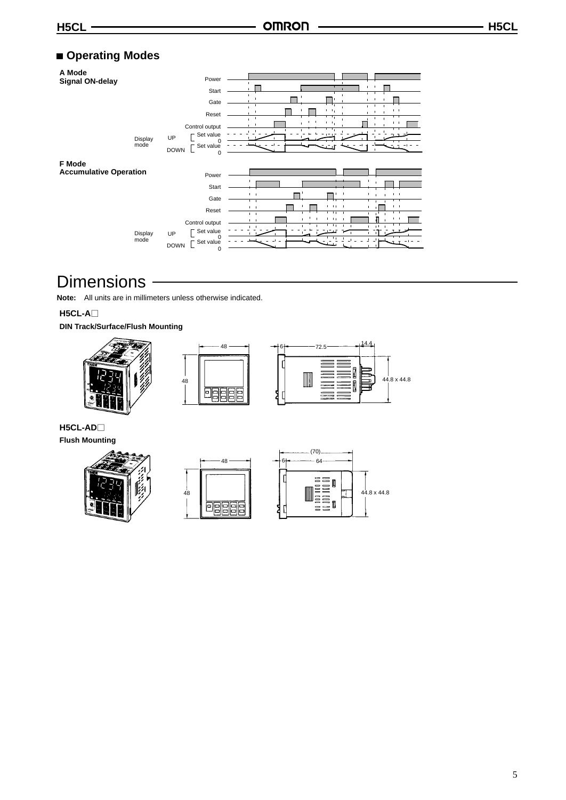## **Operating Modes**

| A Mode<br><b>Signal ON-delay</b>        |                 | Power<br>Start<br>Gate<br>Reset<br>Control output            | $\blacksquare$<br>$\blacksquare$<br>$1 - 1$<br>$\mathbf{L}_1$<br>$\mathbb T$<br>$\blacksquare$<br>⊤<br>τ,<br>$\mathbf{I}$<br>$\blacksquare$<br>$\mathbf{I}$<br>$\mathbf{L}_1$<br>$1 - 1$          |
|-----------------------------------------|-----------------|--------------------------------------------------------------|---------------------------------------------------------------------------------------------------------------------------------------------------------------------------------------------------|
|                                         | Display<br>mode | Set value<br><b>UP</b><br>0<br>Set value<br><b>DOWN</b><br>0 | - -                                                                                                                                                                                               |
| F Mode<br><b>Accumulative Operation</b> |                 |                                                              |                                                                                                                                                                                                   |
|                                         |                 | Power<br>Start                                               |                                                                                                                                                                                                   |
|                                         |                 | Gate<br>Reset                                                | $1 - 1$<br>$1 - 1$<br>$\overline{\phantom{a}}$<br>$1 - 1 + 1 = 1$<br>$1 - 1$<br>$1 - 1$                                                                                                           |
|                                         | Display         | Control output<br>Set value<br><b>UP</b>                     | $\overline{11}$<br>$\overline{1}$<br>$\blacksquare$<br>$\mathbf{1}$<br>$1 - 1 +$<br>$1 - 1$<br>$\mathbf{I}$<br>$\Gamma = 1$<br>$\mathbf{1}$<br>$11 - 1$<br>$\mathbf{L}$<br>$1 - 1$<br>$+ +$<br>T, |
|                                         | mode            | 0<br>Set value<br><b>DOWN</b><br>0                           |                                                                                                                                                                                                   |

## **Dimensions**

**Note:** All units are in millimeters unless otherwise indicated.

**H5CL-A**

**DIN Track/Surface/Flush Mounting**







**H5CL-AD Flush Mounting**





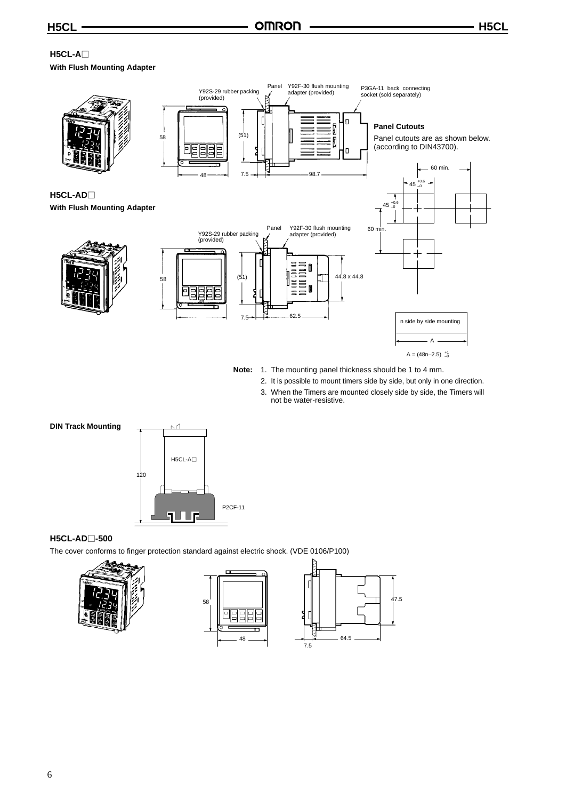## **H5CL-A With Flush Mounting Adapter**



- **Note:** 1. The mounting panel thickness should be 1 to 4 mm.
	- 2. It is possible to mount timers side by side, but only in one direction.
	- 3. When the Timers are mounted closely side by side, the Timers will not be water-resistive.



## **H5CL-AD-500**

The cover conforms to finger protection standard against electric shock. (VDE 0106/P100)





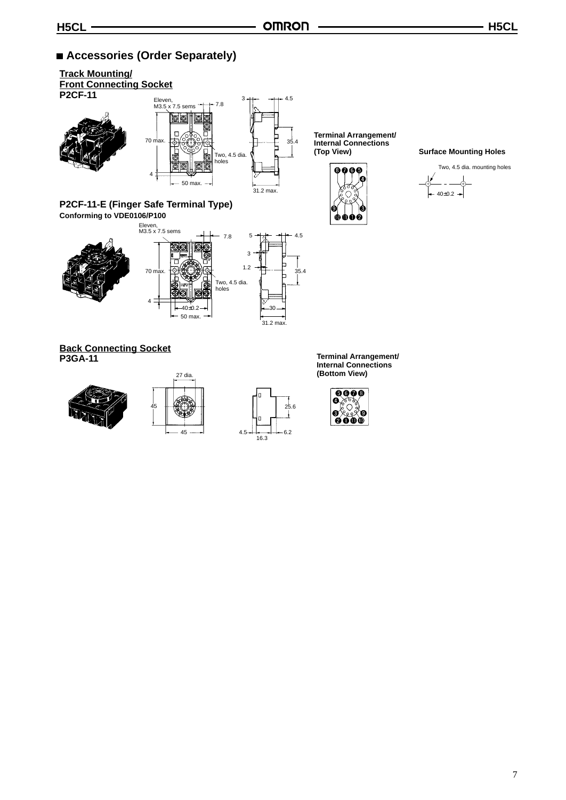## ■ Accessories (Order Separately)









**(Bottom View)**

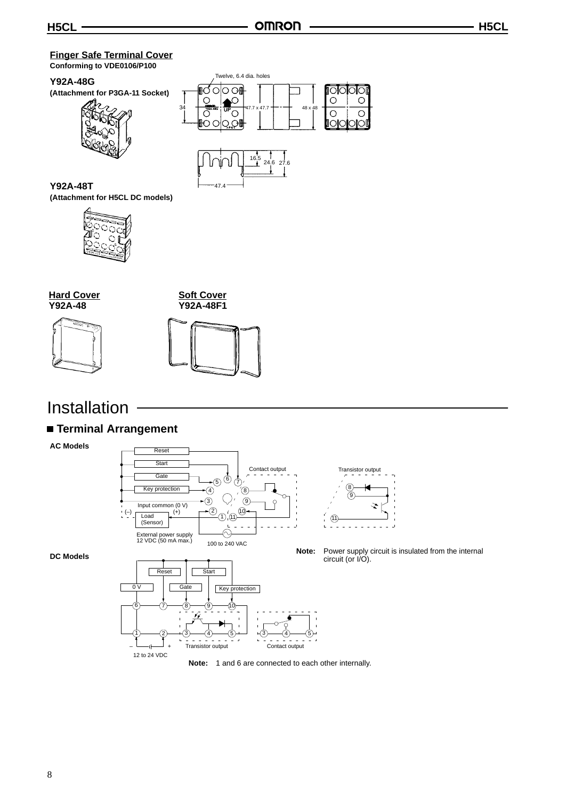## **Finger Safe Terminal Cover Conforming to VDE0106/P100**

## **Y92A-48G**

**(Attachment for P3GA-11 Socket)**







**Y92A-48T (Attachment for H5CL DC models)**



**Hard Cover Y92A-48**



**Soft Cover Y92A-48F1**



# Installation

## **Terminal Arrangement**

12 to 24 VDC

**AC Models**



**DC Models**

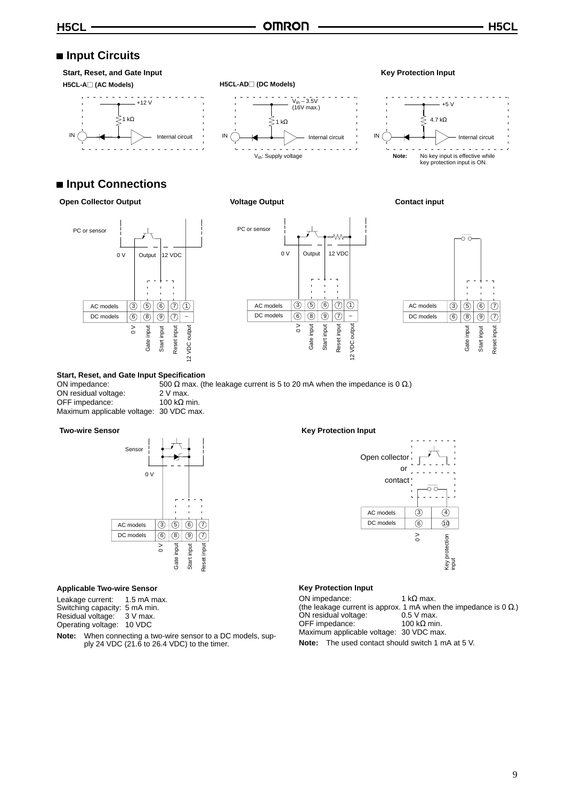## ■ Input Circuits

#### **Start, Reset, and Gate Input Key Protection Input H5CL-A (AC Models) H5CL-AD (DC Models)**  $\omega$  ,  $\omega$  ,  $\omega$  ,  $\omega$  $- - - - - - -12 \text{V}$ V<sub>in</sub> – 3.5V<br>(16V max.) ξ 1 kΩ  $\lesssim$ <sub>1 kΩ</sub> IN Internal circuit IN ( )  $\leftarrow$  Internal circuit IN ( ) Internal circuit Internal circuit IN Internal circuit Vin: Supply voltage

## ■ Input Connections

## **Open Collector Output Collet Collection Collection Collection Collection Collection Collection Collection Collection Collection Collection Collection Collection Collection Collection Collection Collection Collection Colle**







### **Start, Reset, and Gate Input Specification**

| ON impedance:                           | 500 $\Omega$ max. (1) |
|-----------------------------------------|-----------------------|
| ON residual voltage:                    | $2V$ max.             |
| OFF impedance:                          | 100 k $\Omega$ min.   |
| Maximum applicable voltage: 30 VDC max. |                       |

 $\alpha$ . (the leakage current is 5 to 20 mA when the impedance is 0 Ω.)

#### **Two-wire Sensor**



#### **Applicable Two-wire Sensor**

Leakage current: 1.5 mA max. Switching capacity: 5 mA min. Residual voltage: 3 V max.

Operating voltage: 10 VDC

**Note:** When connecting a two-wire sensor to a DC models, supply 24 VDC (21.6 to 26.4 VDC) to the timer.

#### **Key Protection Input**



#### **Key Protection Input**

ON impedance:  $1 kΩ max$ . (the leakage current is approx. 1 mA when the impedance is 0  $\Omega$ .)<br>ON residual voltage: 0.5 V max. ON residual voltage:  $0.5 \text{ V max.}$ <br>OFF impedance:  $100 \text{ k}\Omega \text{ min.}$ OFF impedance: Maximum applicable voltage: 30 VDC max.

**Note:** The used contact should switch 1 mA at 5 V.

#### 4.7 kΩ ⋛

 $\sim 10^{-1}$ **Note:** No key input is effective while<br>key protection input is ON.

+5 V

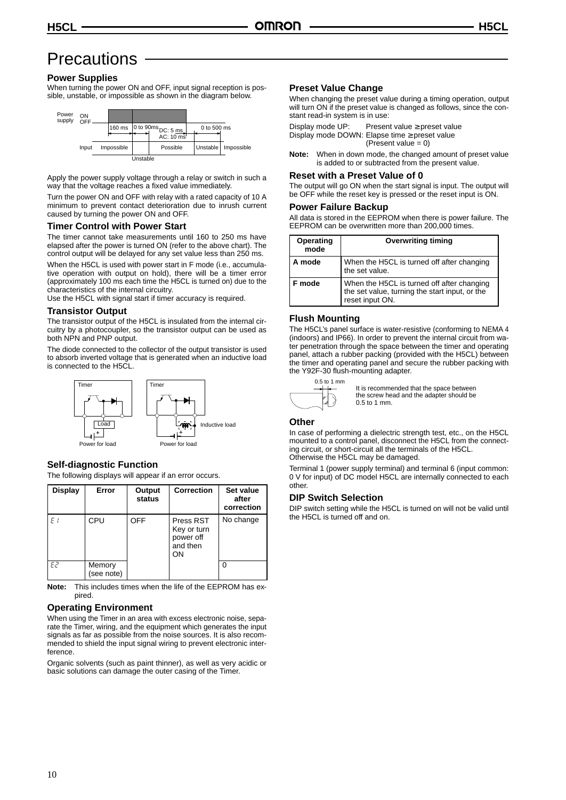## **Precautions**

## **Power Supplies**

When turning the power ON and OFF, input signal reception is possible, unstable, or impossible as shown in the diagram below.



Apply the power supply voltage through a relay or switch in such a way that the voltage reaches a fixed value immediately.

Turn the power ON and OFF with relay with a rated capacity of 10 A minimum to prevent contact deterioration due to inrush current caused by turning the power ON and OFF.

## **Timer Control with Power Start**

The timer cannot take measurements until 160 to 250 ms have elapsed after the power is turned ON (refer to the above chart). The control output will be delayed for any set value less than 250 ms.

When the H5CL is used with power start in F mode (i.e., accumulative operation with output on hold), there will be a timer error (approximately 100 ms each time the H5CL is turned on) due to the characteristics of the internal circuitry.

Use the H5CL with signal start if timer accuracy is required.

### **Transistor Output**

The transistor output of the H5CL is insulated from the internal circuitry by a photocoupler, so the transistor output can be used as both NPN and PNP output.

The diode connected to the collector of the output transistor is used to absorb inverted voltage that is generated when an inductive load is connected to the H5CL.



## **Self-diagnostic Function**

The following displays will appear if an error occurs.

| <b>Display</b> | Error                | Output<br>status | <b>Correction</b>                                       | Set value<br>after<br>correction |
|----------------|----------------------|------------------|---------------------------------------------------------|----------------------------------|
| E <sub>1</sub> | CPU                  | <b>OFF</b>       | Press RST<br>Key or turn<br>power off<br>and then<br>OΝ | No change                        |
| E2             | Memory<br>(see note) |                  |                                                         |                                  |

**Note:** This includes times when the life of the EEPROM has expired.

## **Operating Environment**

When using the Timer in an area with excess electronic noise, separate the Timer, wiring, and the equipment which generates the input signals as far as possible from the noise sources. It is also recommended to shield the input signal wiring to prevent electronic interference.

Organic solvents (such as paint thinner), as well as very acidic or basic solutions can damage the outer casing of the Timer.

## **Preset Value Change**

When changing the preset value during a timing operation, output will turn ON if the preset value is changed as follows, since the constant read-in system is in use:

Display mode UP: Present value ≥ preset value Display mode DOWN: Elapse time ≥ preset value (Present value  $= 0$ )

**Note:** When in down mode, the changed amount of preset value is added to or subtracted from the present value.

## **Reset with a Preset Value of 0**

The output will go ON when the start signal is input. The output will be OFF while the reset key is pressed or the reset input is ON.

#### **Power Failure Backup**

All data is stored in the EEPROM when there is power failure. The EEPROM can be overwritten more than 200,000 times.

| Operating<br>mode | <b>Overwriting timing</b>                                                                                       |
|-------------------|-----------------------------------------------------------------------------------------------------------------|
| A mode            | When the H5CL is turned off after changing<br>the set value.                                                    |
| F mode            | When the H5CL is turned off after changing<br>the set value, turning the start input, or the<br>reset input ON. |

## **Flush Mounting**

The H5CL's panel surface is water-resistive (conforming to NEMA 4 (indoors) and IP66). In order to prevent the internal circuit from water penetration through the space between the timer and operating panel, attach a rubber packing (provided with the H5CL) between the timer and operating panel and secure the rubber packing with the Y92F-30 flush-mounting adapter.



It is recommended that the space between the screw head and the adapter should be 0.5 to 1 mm.

#### **Other**

In case of performing a dielectric strength test, etc., on the H5CL mounted to a control panel, disconnect the H5CL from the connecting circuit, or short-circuit all the terminals of the H5CL. Otherwise the H5CL may be damaged.

Terminal 1 (power supply terminal) and terminal 6 (input common: 0 V for input) of DC model H5CL are internally connected to each other.

#### **DIP Switch Selection**

DIP switch setting while the H5CL is turned on will not be valid until the H5CL is turned off and on.